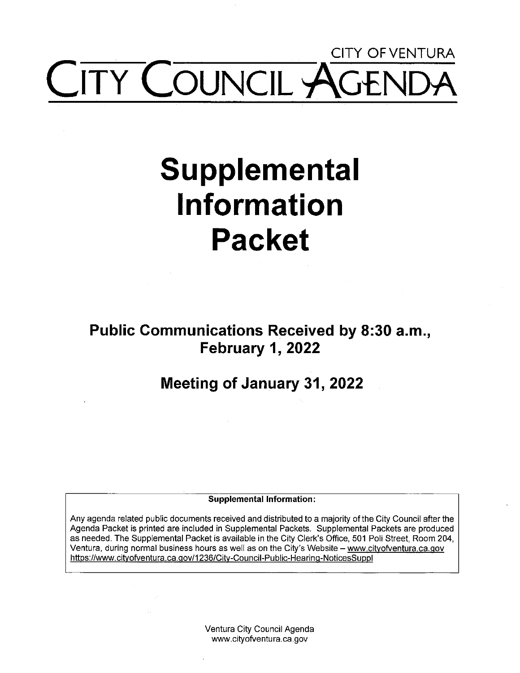## **CITY OF VENTURA COUNCIL AGE**

# **Supplemental Information Packet**

**Public Communications Received by 8:30 a.m., February 1, 2022** 

**Meeting of January 31, 2022** 

**Supplemental Information:** 

Any agenda related public documents received and distributed to a majority of the City Council after the Agenda Packet is printed are included in Supplemental Packets. Supplemental Packets are produced as needed. The Supplemental Packet is available in the City Clerk's Office, 501 Poli Street, Room 204, Ventura, during normal business hours as well as on the City's Website - www.cityofventura.ca.gov https://www.cityofventura.ca.gov/1236/City-Council-Public-Hearing-NoticesSuppl

> Ventura City Council Agenda www.cityofventura.ca.gov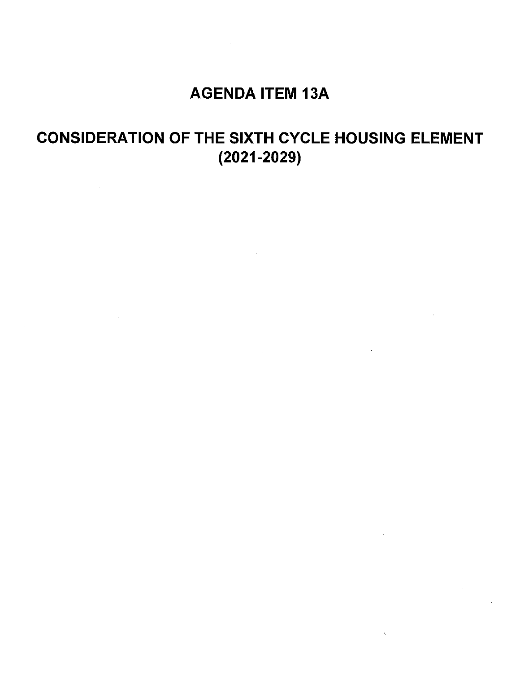### AGENDA ITEM 13A

## CONSIDERATION OF THE SIXTH CYCLE HOUSING ELEMENT (2021-2029)

 $\mathcal{L}_{\text{max}}$  and  $\mathcal{L}_{\text{max}}$ 

 $\sim$   $\sim$ 

 $\bar{\chi}$ 

 $\mathcal{L}$ 

 $\sim$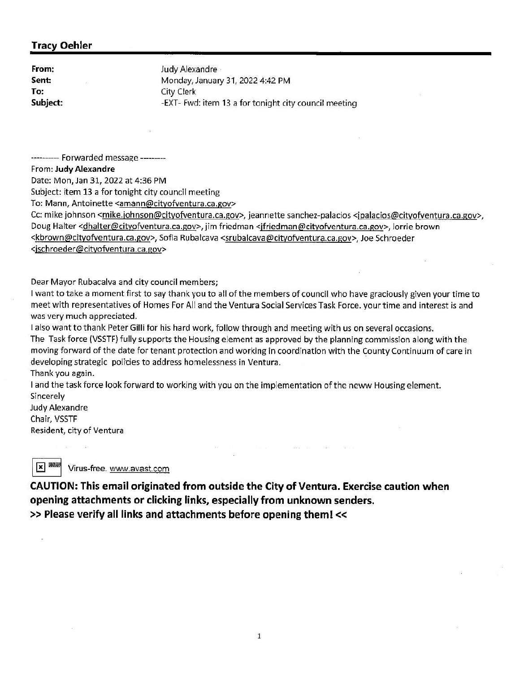#### **Tracy Oehler**

Sent: **To:** 

**From: Judy Alexandre** Monday, January 31, 2022 4:42 **PM**  City Clerk **Subject:** -EXT- Fwd: item 13 a for tonight city council meeting

---------- Forwarded message ---------

From: **Judy Alexandre** 

Date: Mon, Jan 31, 2022 at 4:36 PM

Subject: item 13 a for tonight city council meeting

To: Mann, Antoinette <amann@cityofventura.ca.gov>

Cc: mike johnson <mike.johnson@cityofventura.ca.gov>, jeannette sanchez-palacios <jpalacios@cityofventura.ca.gov>, Doug Halter <dhalter@cityofventura.ca.gov>, jim friedman <jfriedman@cityofventura.ca.gov>, Jorrie brown <kbrown@cityofventura.ca.gov>, Sofia Rubalcava <srubalcava@cityofventura.ca.gov>, Joe Schroeder <jschroeder@cityofventura.ca.gov>

Dear Mayor Rubacalva and city council members;

I want to take a moment first to say thank you to all of the members of council who have graciously given your time to meet with representatives of Homes For All and the Ventura Social Services Task Force. your time and interest is and was very much appreciated.

I also want to thank Peter Gilli for his hard work, follow through and meeting with us on several occasions. The Task force (VSSTF) fully supports the Housing element as approved by the planning commission along with the moving forward of the date for tenant protection and working in coordination with the County Continuum of care in developing strategic policies to address homelessness in Ventura. Thank you again.

494 - 495

I and the task force look forward to working with you on the implementation of the neww Housing element. Sincerely

Judy Alexandre Chair, VSSTF Resident, city of Ventura

~ Virus-free. www.avast.com

**CAUTION: This email originated from outside the City of Ventura. Exercise caution when opening attachments or clicking links, especially from unknown senders.**  >> **Please verify all links and attachments before opening them!<<**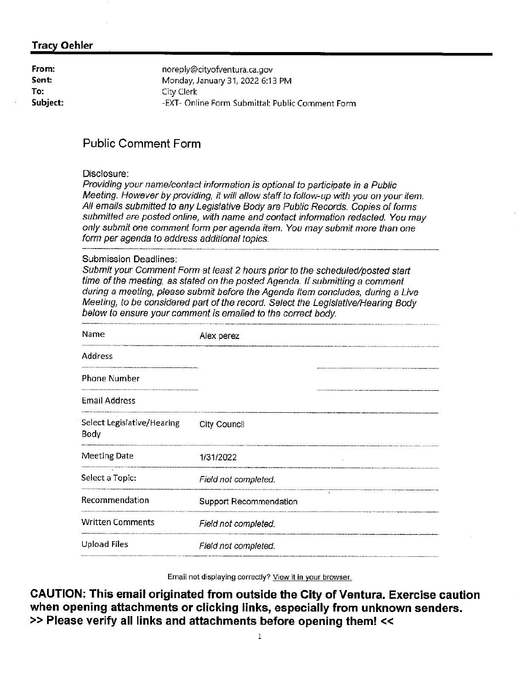#### **Tracy Oehler**

| From:    | noreply@cityofventura.ca.gov                     |
|----------|--------------------------------------------------|
| Sent:    | Monday, January 31, 2022 6:13 PM                 |
| To:      | City Clerk                                       |
| Subject: | -EXT- Online Form Submittal: Public Comment Form |

#### **Public Comment Form**

#### Disclosure:

Providing your name/contact information is optional to participate in a Public Meeting. However by providing, it will allow staff to follow-up with you on your item. All emails submitted to any Legislative Body are Public Records. Copies of forms submitted are posted online, with name and contact information redacted. You may only submit one comment form per agenda item. You may submit more than one form per agenda to address additional topics.

#### Submission Deadlines:

Submit your Comment Form at feast 2 hours prior to the scheduled/posted start time of the meeting, as stated on the posted Agenda. If submitting a comment during a meeting, please submit before the Agenda Item concludes, during a Live Meeting, to be considered part of the record. Select the Legislative/Hearing Body below to ensure your comment is emailed to the correct body. eeting, to be consid<br>alow to ensure your<br>and

| <b>City Council</b>                 |
|-------------------------------------|
| 1/31/2022                           |
| Field not completed.                |
| $\lambda$<br>Support Recommendation |
| Field not completed.                |
| Field not completed.                |
|                                     |

Email not displaying correctly? View it in your browser.

**CAUTION: This email originated from outside the City of Ventura. Exercise caution when opening attachments or clicking links, especially from unknown senders.**  >> **Please verify all links and attachments before opening them!** <<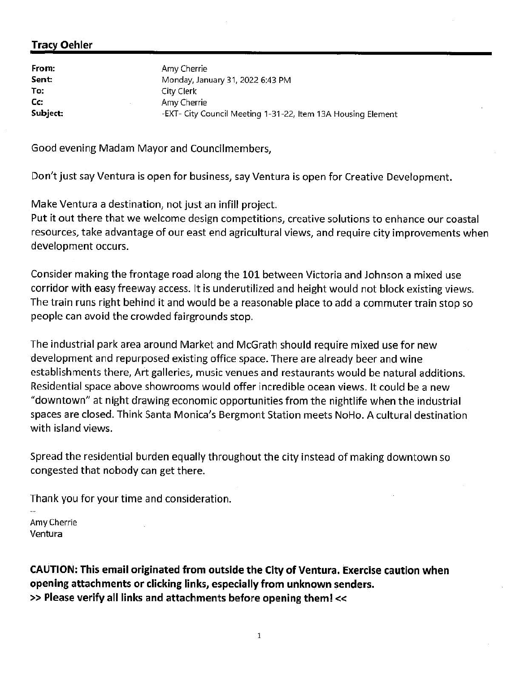#### **Tracy Oehler**

**From:**  Sent: **To: Cc: Subject:**  Amy Cherrie Monday, January 31 , 2022 6:43 PM City Clerk Amy Cherrie -EXT- City Council Meeting 1-31-22, Item 13A Housing Element

Good evening Madam Mayor and Councilmembers,

Don't just say Ventura is open for business, say Ventura is open for Creative Development.

Make Ventura a destination, not just an infill project.

Put it out there that we welcome design competitions, creative solutions to enhance our coastal resources, take advantage of our east end agricultural views, and require city improvements when development occurs.

Consider making the frontage road along the 101 between Victoria and Johnson a mixed use corridor with easy freeway access. It is underutilized and height would not block existing views. The train runs right behind it and would be a reasonable place to add a commuter train stop so people can avoid the crowded fairgrounds stop.

The industrial park area around Market and McGrath should require mixed use for new development and repurposed existing office space. There are already beer and wine establishments there, Art galleries, music venues and restaurants would be natural additions. Residential space above showrooms would offer incredible ocean views. It could be a new "downtown" at night drawing economic opportunities from the nightlife when the industrial spaces are closed. Think Santa Monica's Bergmont Station meets NoHo. A cultural destination with island views.

Spread the residential burden equally throughout the city instead of making downtown so congested that nobody can get there.

Thank you for your time and consideration.

Amy Cherrie Ventura

**CAUTION: This email originated from outside the City of Ventura. Exercise caution when opening attachments or clicking links, especially from unknown senders.**  >> **Please verify all links and attachments before opening them!<<**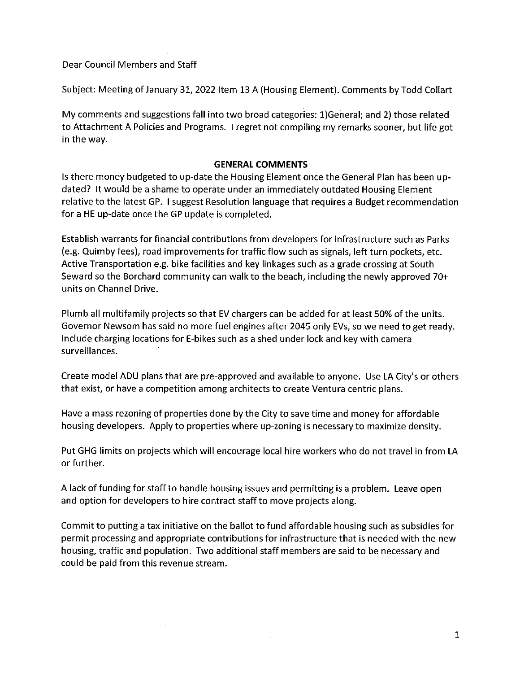Dear Council Members and Staff

Subject: Meeting of January 31, 2022 Item 13 A (Housing Element). Comments by Todd Collart

My comments and suggestions fall into two broad categories: 1)General; and 2) those related to Attachment A Policies and Programs. I regret not compiling my remarks sooner, but life got in the way.

#### **GENERAL COMMENTS**

Is there money budgeted to up-date the Housing Element once the General Plan has been updated? It would be a shame to operate under an immediately outdated Housing Element relative to the latest GP. I suggest Resolution language that requires a Budget recommendation for a HE up-date once the GP update is completed.

Establish warrants for financial contributions from developers for infrastructure such as Parks (e.g. Quimby fees), road improvements for traffic flow such as signals, left turn pockets, etc. Active Transportation e.g. bike facilities and key linkages such as a grade crossing at South Seward so the Borchard community can walk to the beach, including the newly approved 70+ units on Channel Drive.

Plumb all multifamily projects so that EV chargers can be added for at least 50% of the units. Governor Newsom has said no more fuel engines after 2045 only EVs, so we need to get ready. Include charging locations for E-bikes such as a shed under lock and key with camera surveillances.

Create model ADU plans that are pre-approved and available to anyone. Use LA City's or others that exist, or have a competition among architects to create Ventura centric plans.

Have a mass rezoning of properties done by the City to save time and money for affordable housing developers. Apply to properties where up-zoning is necessary to maximize density.

Put GHG limits on projects which will encourage local hire workers who do not travel in from LA or further.

A lack of funding for staff to handle housing issues and permitting is a problem. Leave open and option for developers to hire contract staff to move projects along.

Commit to putting a tax initiative on the ballot to fund affordable housing such as subsidies for permit processing and appropriate contributions for infrastructure that is needed with the new housing, traffic and population. Two additional staff members are said to be necessary and could be paid from this revenue stream.

 $\sim$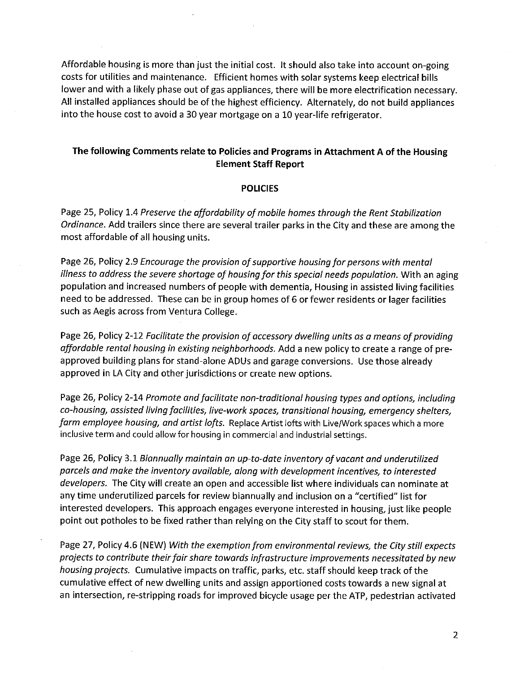Affordable housing is more than just the initial cost. It should also take into account on-going costs for utilities and maintenance. Efficient homes with solar systems keep electrical bills lower and with a likely phase out of gas appliances, there will be more electrification necessary. All installed appliances should be of the highest efficiency. Alternately, do not build appliances into the house cost to avoid a 30 year mortgage on a 10 year-life refrigerator.

#### **The following Comments relate to Policies and Programs in Attachment A of the Housing Element Staff Report**

#### **POLICIES**

Page 25, Policy 1.4 *Preserve the affordability of mobile homes through the Rent Stabilization Ordinance.* Add trailers since there are several trailer parks in the City and these are among the most affordable of all housing units.

Page 26, Policy 2.9 *Encourage the provision of supportive housing for persons with mental illness to address the severe shortage of housing for this special needs population.* With an aging population and increased numbers of people with dementia, Housing in assisted living facilities need to be addressed. These can be in group homes of 6 or fewer residents or lager facilities such as Aegis across from Ventura College.

Page 26, Policy 2-12 *Facilitate the provision of accessory dwelling units as a means of providing affordable rental housing in existing neighborhoods.* Add a new policy to create a range of preapproved building plans for stand-alone ADUs and garage conversions. Use those already approved in LA City and other jurisdictions or create new options.

Page 26, Policy 2-14 *Promote and facilitate non-traditional housing types and options, including co-housing, assisted living facilities, live-work spaces, transitional housing, emergency shelters, farm employee housing, and artist lofts.* Replace Artist lofts with Live/Work spaces which a more inclusive term and could allow for housing in commercial and industrial settings.

Page 26, Policy 3.1 *Biannually maintain an up-to-date inventory of vacant and underutilized parcels and make the inventory available, along with development incentives, to interested developers.* The City will create an open and accessible list where individuals can nominate at any time underutilized parcels for review biannually and inclusion on a "certified" list for interested developers. This approach engages everyone interested in housing, just like people point out potholes to be fixed rather than relying on the City staff to scout for them.

Page 27, Policy 4.6 (NEW) *With the exemption from environmental reviews, the City still expects projects to contribute their fair share towards infrastructure improvements necessitated by new housing projects.* Cumulative impacts on traffic, parks, etc. staff should keep track of the cumulative effect of new dwelling units and assign apportioned costs towards a new signal at an intersection, re-stripping roads for improved bicycle usage per the ATP, pedestrian activated

2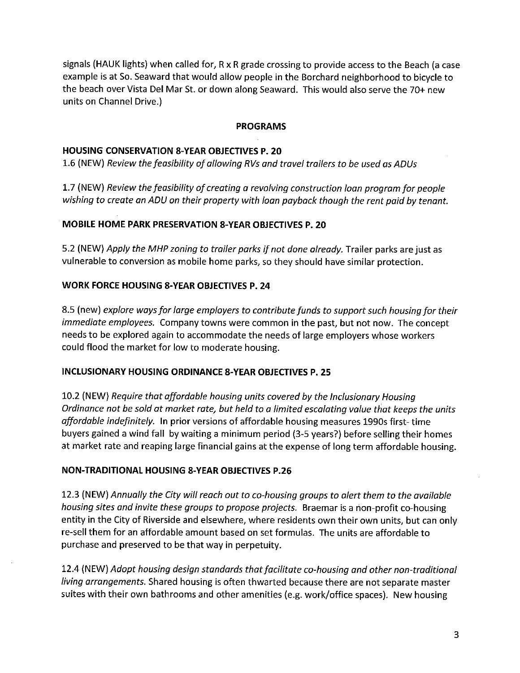signals (HAUK lights) when called for, Rx R grade crossing to provide access to the Beach (a case example is at So. Seaward that would allow people in the Borchard neighborhood to bicycle to the beach over Vista Del Mar St. or down along Seaward. This would also serve the 70+ new units on Channel Drive.)

#### **PROGRAMS**

#### **HOUSING CONSERVATION 8-YEAR OBJECTIVES P. 20**

1.6 (NEW) *Review the feasibility of allowing RVs and travel trailers to be used as ADUs* 

1.7 (NEW) *Review the feasibility of creating a revolving construction loan program for people wishing to create an ADU on their property with loan payback though the rent paid by tenant.* 

#### **MOBILE HOME PARK PRESERVATION 8-YEAR OBJECTIVES P. 20**

5.2 (NEW) *Apply the MHP zoning to trailer parks if not done already.* Trailer parks are just as vulnerable to conversion as mobile home parks, so they should have similar protection.

#### **WORK FORCE HOUSING 8-YEAR OBJECTIVES P. 24**

8.5 (new) *explore ways for large employers to contribute funds to support such housing for their immediate employees.* Company towns were common in the past, but not now. The concept needs to be explored again to accommodate the needs of large employers whose workers could flood the market for low to moderate housing.

#### **INCLUSIONARY HOUSING ORDINANCE 8-YEAR OBJECTIVES P. 25**

10.2 (NEW) *Require that affordable housing units covered by the lnclusionary Housing Ordinance not be sold at market rate, but held to a limited escalating value that keeps the units affordable indefinitely.* In prior versions of affordable housing measures 1990s first· time buyers gained a wind fall by waiting a minimum period (3-5 years?) before selling their homes at market rate and reaping large financial gains at the expense of long term affordable housing.

#### **NON-TRADITIONAL HOUSING 8-YEAR OBJECTIVES P.26**

12.3 (NEW) *Annually the City will reach out to co-housing groups to alert them to the available housing sites and invite these groups to propose projects.* Braemar is a non-profit co-housing entity in the City of Riverside and elsewhere, where residents own their own units, but can only re-sell them for an affordable amount based on set formulas. The units are affordable to purchase and preserved to be that way in perpetuity.

12.4 (NEW) *Adopt housing design standards that facilitate co-housing and other non-traditional living arrangements.* Shared housing is often thwarted because there are not separate master suites with their own bathrooms and other amenities (e.g. work/office spaces). New housing